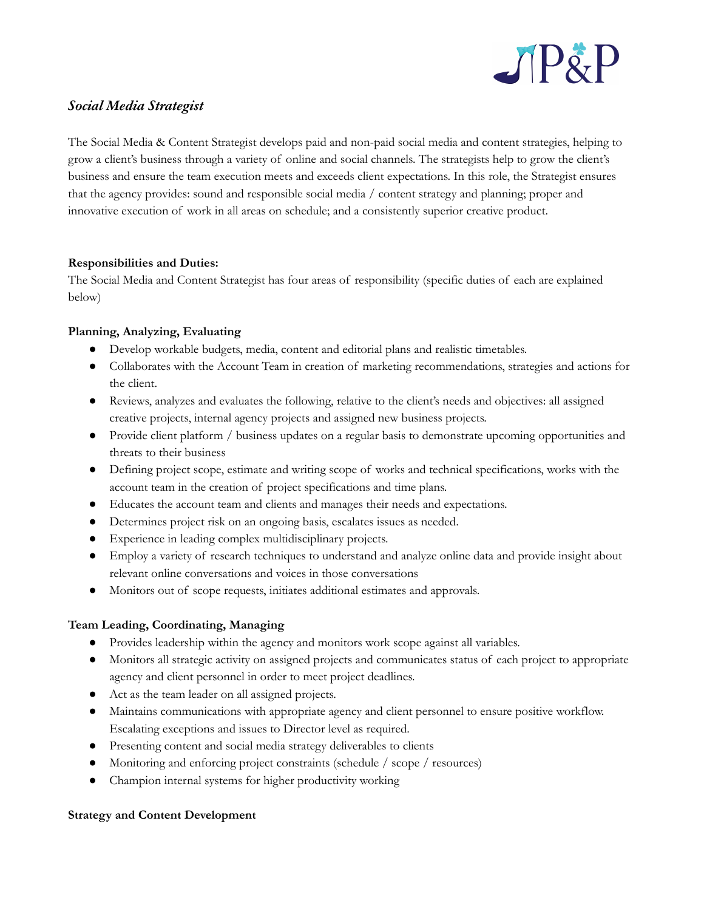

# *Social Media Strategist*

The Social Media & Content Strategist develops paid and non-paid social media and content strategies, helping to grow a client's business through a variety of online and social channels. The strategists help to grow the client's business and ensure the team execution meets and exceeds client expectations. In this role, the Strategist ensures that the agency provides: sound and responsible social media / content strategy and planning; proper and innovative execution of work in all areas on schedule; and a consistently superior creative product.

## **Responsibilities and Duties:**

The Social Media and Content Strategist has four areas of responsibility (specific duties of each are explained below)

## **Planning, Analyzing, Evaluating**

- Develop workable budgets, media, content and editorial plans and realistic timetables.
- Collaborates with the Account Team in creation of marketing recommendations, strategies and actions for the client.
- Reviews, analyzes and evaluates the following, relative to the client's needs and objectives: all assigned creative projects, internal agency projects and assigned new business projects.
- Provide client platform / business updates on a regular basis to demonstrate upcoming opportunities and threats to their business
- Defining project scope, estimate and writing scope of works and technical specifications, works with the account team in the creation of project specifications and time plans.
- Educates the account team and clients and manages their needs and expectations.
- Determines project risk on an ongoing basis, escalates issues as needed.
- Experience in leading complex multidisciplinary projects.
- Employ a variety of research techniques to understand and analyze online data and provide insight about relevant online conversations and voices in those conversations
- Monitors out of scope requests, initiates additional estimates and approvals.

# **Team Leading, Coordinating, Managing**

- Provides leadership within the agency and monitors work scope against all variables.
- Monitors all strategic activity on assigned projects and communicates status of each project to appropriate agency and client personnel in order to meet project deadlines.
- Act as the team leader on all assigned projects.
- Maintains communications with appropriate agency and client personnel to ensure positive workflow. Escalating exceptions and issues to Director level as required.
- Presenting content and social media strategy deliverables to clients
- Monitoring and enforcing project constraints (schedule / scope / resources)
- Champion internal systems for higher productivity working

### **Strategy and Content Development**